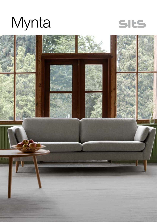



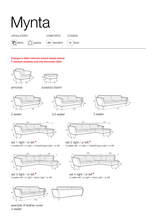

## Changes in 2023 collection (check details below) ¤ Element available until 31st December 2022





armchair footstool 55x44







2 seater

2,5 seater







set 1 right / or left <sup>¤</sup> 2 seater left / or right + chaiselongue right / or left



set 3 right / or left  $^{\circ}$ 2 seater left / or right + divan right / or left





**a** set 4 right / or left **¤** 3 seater left / or right + divan right / or left



example of leather cover 3 seater